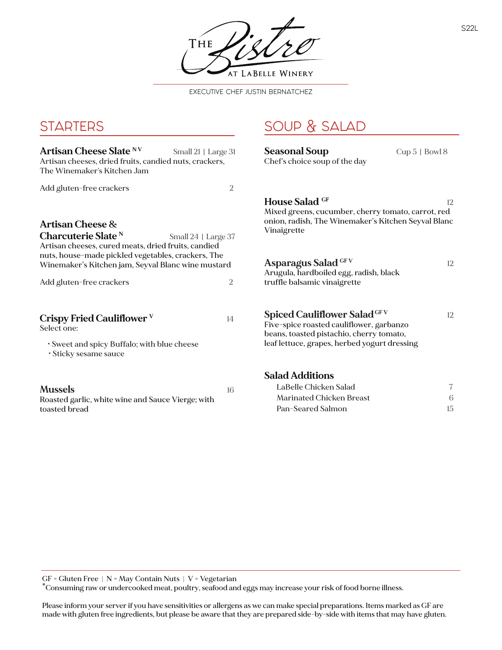THE AT LABELLE WINERY

EXECUTIVE CHEF JUSTIN BERNATCHEZ

SOUP & SALAD

## **STARTERS**

| Artisan Cheese Slate <sup>N V</sup><br>Small 21   Large 31<br>Artisan cheeses, dried fruits, candied nuts, crackers,<br>The Winemaker's Kitchen Jam |                | <b>Seasonal Soup</b><br>Chef's choice soup of the day                                                                                                                       | $Cup 5$   Bowl 8 |
|-----------------------------------------------------------------------------------------------------------------------------------------------------|----------------|-----------------------------------------------------------------------------------------------------------------------------------------------------------------------------|------------------|
| Add gluten-free crackers                                                                                                                            | $\overline{2}$ |                                                                                                                                                                             |                  |
| Artisan Cheese &<br>Charcuterie Slate <sup>N</sup><br>Small 24   Large 37<br>Artisan cheeses, cured meats, dried fruits, candied                    |                | <b>House Salad GF</b><br>12<br>Mixed greens, cucumber, cherry tomato, carrot, red<br>onion, radish, The Winemaker's Kitchen Seyval Blanc<br>Vinaigrette                     |                  |
| nuts, house-made pickled vegetables, crackers, The<br>Winemaker's Kitchen jam, Seyval Blanc wine mustard<br>Add gluten-free crackers                | $\overline{2}$ | Asparagus Salad GFV<br>Arugula, hardboiled egg, radish, black<br>truffle balsamic vinaigrette                                                                               | 12               |
| Crispy Fried Cauliflower $^{\rm V}$<br>Select one:<br>· Sweet and spicy Buffalo; with blue cheese<br>· Sticky sesame sauce                          | 14             | <b>Spiced Cauliflower Salad GFV</b><br>Five-spice roasted cauliflower, garbanzo<br>beans, toasted pistachio, cherry tomato,<br>leaf lettuce, grapes, herbed yogurt dressing | 12               |
| <b>Mussels</b><br>Roasted garlic, white wine and Sauce Vierge; with<br>toasted bread                                                                | 16             | <b>Salad Additions</b><br>LaBelle Chicken Salad<br><b>Marinated Chicken Breast</b><br>Pan-Seared Salmon                                                                     | 7<br>6<br>15     |

GF = Gluten Free | N = May Contain Nuts | V = Vegetarian

\*Consuming raw or undercooked meat, poultry, seafood and eggs may increase your risk of food borne illness.

Please inform your server if you have sensitivities or allergens as we can make special preparations. Items marked as GF are made with gluten free ingredients, but please be aware that they are prepared side-by-side with items that may have gluten.